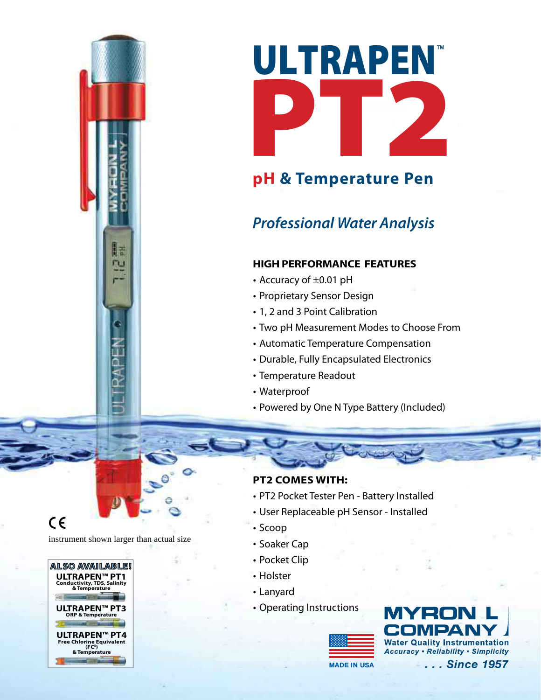

# **pH & Temperature Pen**

# *Professional Water Analysis*

### **High Performance Features**

- Accuracy of ±0.01 pH
- Proprietary Sensor Design
- 1, 2 and 3 Point Calibration
- Two pH Measurement Modes to Choose From
- Automatic Temperature Compensation
- Durable, Fully Encapsulated Electronics
- Temperature Readout
- Waterproof
- Powered by One N Type Battery (Included)

#### **PT2 Comes with:**

- PT2 Pocket Tester Pen Battery Installed
- User Replaceable pH Sensor Installed
- Scoop
- Soaker Cap
- Pocket Clip
- Holster
- Lanyard
- Operating Instructions



MYRO **Water Quality Instrumentation Accuracy . Reliability . Simplicity** 

**MADE IN USA**

. . . Since 1957

 $C \in$ 

instrument shown larger than actual size

R